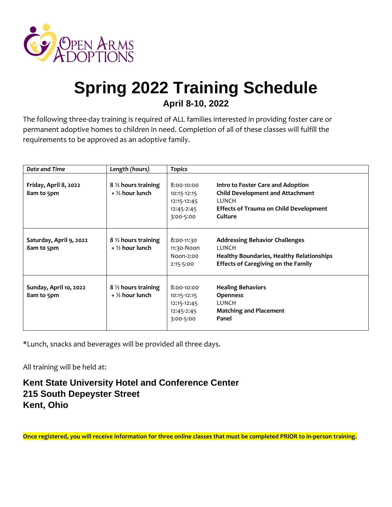

# **Spring 2022 Training Schedule April 8-10, 2022**

The following three-day training is required of ALL families interested in providing foster care or permanent adoptive homes to children in need. Completion of all of these classes will fulfill the requirements to be approved as an adoptive family.

| Date and Time                         | Length (hours)                                     | <b>Topics</b>                                                       |                                                                                                                                                   |
|---------------------------------------|----------------------------------------------------|---------------------------------------------------------------------|---------------------------------------------------------------------------------------------------------------------------------------------------|
| Friday, April 8, 2022<br>8am to 5pm   | 8 % hours training<br>$+$ % hour lunch             | 8:00-10:00<br>10:15-12:15<br>12:15-12:45<br>12:45-2:45<br>3:00-5:00 | Intro to Foster Care and Adoption<br><b>Child Development and Attachment</b><br>LUNCH<br><b>Effects of Trauma on Child Development</b><br>Culture |
| Saturday, April 9, 2022<br>8am to 5pm | 8 $\frac{1}{2}$ hours training<br>$+$ % hour lunch | 8:00-11:30<br>11:30-Noon<br>Noon-2:00<br>2:15-5:00                  | <b>Addressing Behavior Challenges</b><br>LUNCH<br><b>Healthy Boundaries, Healthy Relationships</b><br><b>Effects of Caregiving on the Family</b>  |
| Sunday, April 10, 2022<br>8am to 5pm  | 8 % hours training<br>$+$ % hour lunch             | 8:00-10:00<br>10:15-12:15<br>12:15-12:45<br>12:45-2:45<br>3:00-5:00 | <b>Healing Behaviors</b><br><b>Openness</b><br>LUNCH<br><b>Matching and Placement</b><br>Panel                                                    |

\*Lunch, snacks and beverages will be provided all three days.

All training will be held at:

### **Kent State University Hotel and Conference Center 215 South Depeyster Street Kent, Ohio**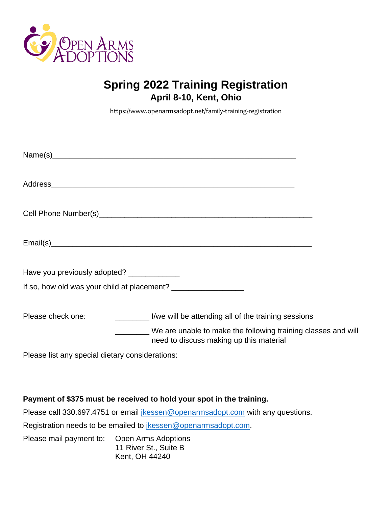

# **Spring 2022 Training Registration April 8-10, Kent, Ohio**

<https://www.openarmsadopt.net/family-training-registration>

| Have you previously adopted? ______________ |                                                                                                                                                                 |
|---------------------------------------------|-----------------------------------------------------------------------------------------------------------------------------------------------------------------|
|                                             |                                                                                                                                                                 |
| Please check one:                           | I/we will be attending all of the training sessions<br>We are unable to make the following training classes and will<br>need to discuss making up this material |

Please list any special dietary considerations:

#### **Payment of \$375 must be received to hold your spot in the training.**

Please call 330.697.4751 or email *jkessen@openarmsadopt.com* with any questions.

Registration needs to be emailed to *[jkessen@openarmsadopt.com.](mailto:jkessen@openarmsadopt.com)* 

Please mail payment to: Open Arms Adoptions 11 River St., Suite B Kent, OH 44240